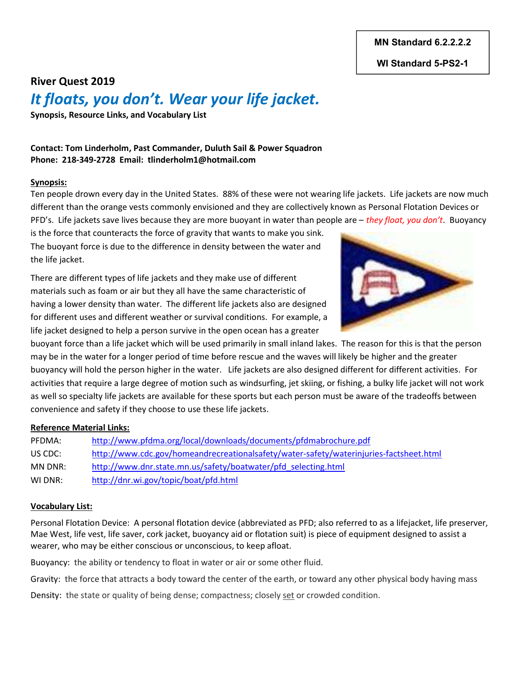MN Standard 6.2.2.2.2

WI Standard 5-PS2-1

# River Quest 2019 It floats, you don't. Wear your life jacket.

Synopsis, Resource Links, and Vocabulary List

Contact: Tom Linderholm, Past Commander, Duluth Sail & Power Squadron Phone: 218-349-2728 Email: tlinderholm1@hotmail.com

#### Synopsis:

Ten people drown every day in the United States. 88% of these were not wearing life jackets. Life jackets are now much different than the orange vests commonly envisioned and they are collectively known as Personal Flotation Devices or PFD's. Life jackets save lives because they are more buoyant in water than people are  $-$  they float, you don't. Buoyancy

is the force that counteracts the force of gravity that wants to make you sink. The buoyant force is due to the difference in density between the water and the life jacket.

There are different types of life jackets and they make use of different materials such as foam or air but they all have the same characteristic of having a lower density than water. The different life jackets also are designed for different uses and different weather or survival conditions. For example, a life jacket designed to help a person survive in the open ocean has a greater



buoyant force than a life jacket which will be used primarily in small inland lakes. The reason for this is that the person may be in the water for a longer period of time before rescue and the waves will likely be higher and the greater buoyancy will hold the person higher in the water. Life jackets are also designed different for different activities. For activities that require a large degree of motion such as windsurfing, jet skiing, or fishing, a bulky life jacket will not work as well so specialty life jackets are available for these sports but each person must be aware of the tradeoffs between convenience and safety if they choose to use these life jackets.

#### Reference Material Links:

PFDMA: http://www.pfdma.org/local/downloads/documents/pfdmabrochure.pdf US CDC: http://www.cdc.gov/homeandrecreationalsafety/water-safety/waterinjuries-factsheet.html MN DNR: http://www.dnr.state.mn.us/safety/boatwater/pfd\_selecting.html WI DNR: http://dnr.wi.gov/topic/boat/pfd.html

#### Vocabulary List:

Personal Flotation Device: A personal flotation device (abbreviated as PFD; also referred to as a lifejacket, life preserver, Mae West, life vest, life saver, cork jacket, buoyancy aid or flotation suit) is piece of equipment designed to assist a wearer, who may be either conscious or unconscious, to keep afloat.

Buoyancy: the ability or tendency to float in water or air or some other fluid.

Gravity: the force that attracts a body toward the center of the earth, or toward any other physical body having mass

Density: the state or quality of being dense; compactness; closely set or crowded condition.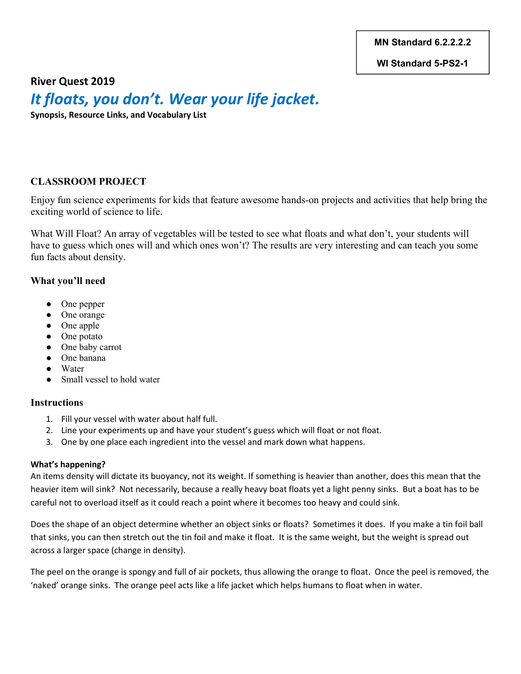MN Standard 6.2.2.2.2

WI Standard 5-PS2-1

River Quest 2019

# It floats, you don't. Wear your life jacket.

Synopsis, Resource Links, and Vocabulary List

## CLASSROOM PROJECT

Enjoy fun science experiments for kids that feature awesome hands-on projects and activities that help bring the exciting world of science to life.

What Will Float? An array of vegetables will be tested to see what floats and what don't, your students will have to guess which ones will and which ones won't? The results are very interesting and can teach you some fun facts about density.

### What you'll need

- One pepper
- One orange
- One apple
- One potato
- One baby carrot
- One banana
- Water
- Small vessel to hold water

### **Instructions**

- 1. Fill your vessel with water about half full.
- 2. Line your experiments up and have your student's guess which will float or not float.
- 3. One by one place each ingredient into the vessel and mark down what happens.

### What's happening?

An items density will dictate its buoyancy, not its weight. If something is heavier than another, does this mean that the heavier item will sink? Not necessarily, because a really heavy boat floats yet a light penny sinks. But a boat has to be careful not to overload itself as it could reach a point where it becomes too heavy and could sink.

Does the shape of an object determine whether an object sinks or floats? Sometimes it does. If you make a tin foil ball that sinks, you can then stretch out the tin foil and make it float. It is the same weight, but the weight is spread out across a larger space (change in density).

The peel on the orange is spongy and full of air pockets, thus allowing the orange to float. Once the peel is removed, the 'naked' orange sinks. The orange peel acts like a life jacket which helps humans to float when in water.